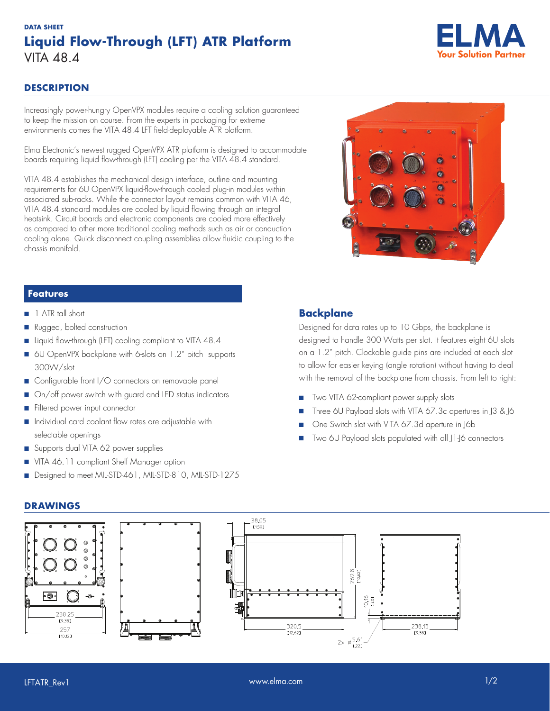# **DATA SHEET Liquid Flow-Through (LFT) ATR Platform** VITA 48.4



## **DESCRIPTION**

Increasingly power-hungry OpenVPX modules require a cooling solution guaranteed to keep the mission on course. From the experts in packaging for extreme environments comes the VITA 48.4 LFT field-deployable ATR platform.

Elma Electronic's newest rugged OpenVPX ATR platform is designed to accommodate boards requiring liquid flow-through (LFT) cooling per the VITA 48.4 standard.

VITA 48.4 establishes the mechanical design interface, outline and mounting requirements for 6U OpenVPX liquid-flow-through cooled plug-in modules within associated sub-racks. While the connector layout remains common with VITA 46, VITA 48.4 standard modules are cooled by liquid flowing through an integral heatsink. Circuit boards and electronic components are cooled more effectively as compared to other more traditional cooling methods such as air or conduction cooling alone. Quick disconnect coupling assemblies allow fluidic coupling to the chassis manifold.



### **Features**

- 1 ATR tall short
- Rugged, bolted construction
- Liquid flow-through (LFT) cooling compliant to VITA 48.4
- 6U OpenVPX backplane with 6-slots on 1.2" pitch supports 300W/slot
- Configurable front I/O connectors on removable panel
- On/off power switch with guard and LED status indicators
- Filtered power input connector
- Individual card coolant flow rates are adjustable with selectable openings
- Supports dual VITA 62 power supplies
- VITA 46.11 compliant Shelf Manager option
- Designed to meet MIL-STD-461, MIL-STD-810, MIL-STD-1275

## **Backplane**

Designed for data rates up to 10 Gbps, the backplane is designed to handle 300 Watts per slot. It features eight 6U slots on a 1.2" pitch. Clockable guide pins are included at each slot to allow for easier keying (angle rotation) without having to deal with the removal of the backplane from chassis. From left to right:

- Two VITA 62-compliant power supply slots
- Three 6U Payload slots with VITA 67.3c apertures in 13 & 16
- One Switch slot with VITA 67.3d aperture in J6b
- Two 6U Payload slots populated with all 11-16 connectors

#### **DRAWINGS**